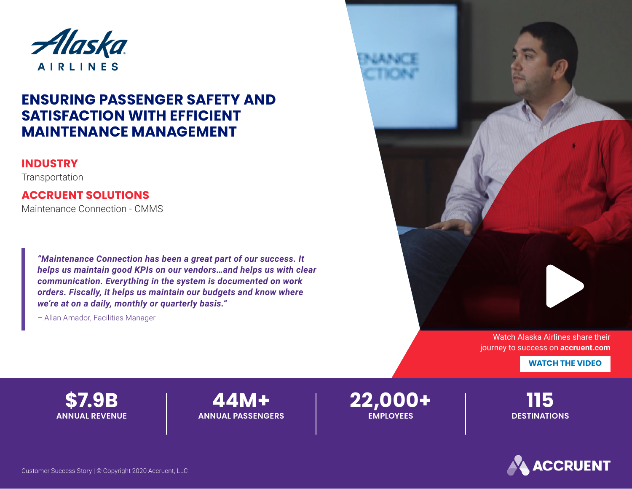

# **ENSURING PASSENGER SAFETY AND SATISFACTION WITH EFFICIENT MAINTENANCE MANAGEMENT**

#### **INDUSTRY**

**Transportation** 

### **ACCRUENT SOLUTIONS**

Maintenance Connection - CMMS

*"Maintenance Connection has been a great part of our success. It helps us maintain good KPIs on our vendors…and helps us with clear communication. Everything in the system is documented on work orders. Fiscally, it helps us maintain our budgets and know where we're at on a daily, monthly or quarterly basis."*

– Allan Amador, Facilities Manager



[Watch Alaska Airlines share their](https://www.accruent.com/resources/case-studies/alaskaairlines)  journey to success on **accruent.com**

**WATCH THE VIDEO** 

**\$7.9B ANNUAL REVENUE**

**44M+ ANNUAL PASSENGERS** **22,000+ EMPLOYEES**

**115 DESTINATIONS**